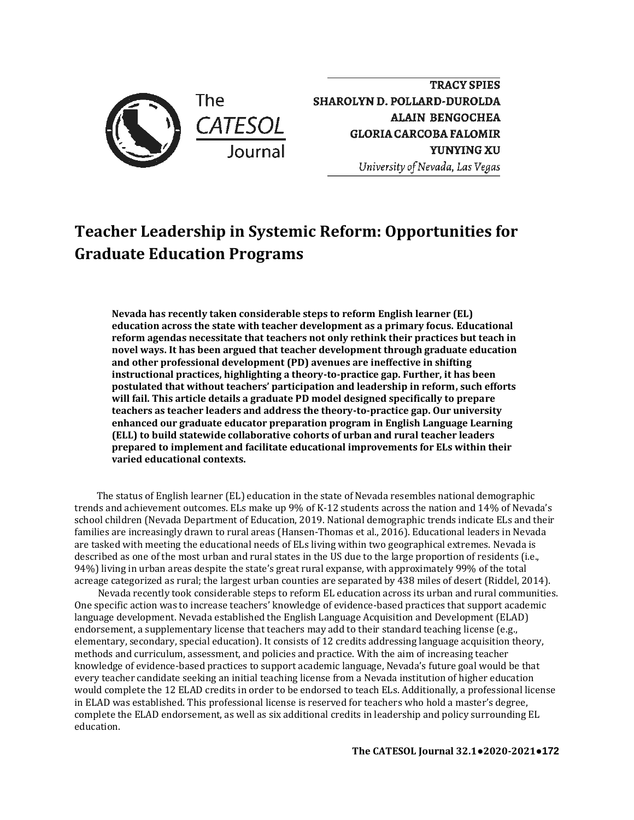

**TRACY SPIES SHAROLYN D. POLLARD-DUROLDA ALAIN BENGOCHEA GLORIA CARCOBA FALOMIR YUNYINGXU**  *University of Nevada, Las Vegas* 

# **Teacher Leadership in Systemic Reform: Opportunities for Graduate Education Programs**

**Nevada has recently taken considerable steps to reform English learner (EL) education across the state with teacher development as a primary focus. Educational reform agendas necessitate that teachers not only rethink their practices but teach in novel ways. It has been argued that teacher development through graduate education and other professional development (PD) avenues are ineffective in shifting instructional practices, highlighting a theory-to-practice gap. Further, it has been postulated that without teachers' participation and leadership in reform, such efforts will fail. This article details a graduate PD model designed specifically to prepare teachers as teacher leaders and address the theory-to-practice gap. Our university enhanced our graduate educator preparation program in English Language Learning (ELL) to build statewide collaborative cohorts of urban and rural teacher leaders prepared to implement and facilitate educational improvements for ELs within their varied educational contexts.** 

The status of English learner (EL) education in the state of Nevada resembles national demographic trends and achievement outcomes. ELs make up 9% of K-12 students across the nation and 14% of Nevada's school children (Nevada Department of Education, 2019. National demographic trends indicate ELs and their families are increasingly drawn to rural areas (Hansen-Thomas et al., 2016). Educational leaders in Nevada are tasked with meeting the educational needs of ELs living within two geographical extremes. Nevada is described as one of the most urban and rural states in the US due to the large proportion of residents (i.e., 94%) living in urban areas despite the state's great rural expanse, with approximately 99% of the total acreage categorized as rural; the largest urban counties are separated by 438 miles of desert (Riddel, 2014).

Nevada recently took considerable steps to reform EL education across its urban and rural communities. One specific action was to increase teachers' knowledge of evidence-based practices that support academic language development. Nevada established the English Language Acquisition and Development (ELAD) endorsement, a supplementary license that teachers may add to their standard teaching license (e.g., elementary, secondary, special education). It consists of 12 credits addressing language acquisition theory, methods and curriculum, assessment, and policies and practice. With the aim of increasing teacher knowledge of evidence-based practices to support academic language, Nevada's future goal would be that every teacher candidate seeking an initial teaching license from a Nevada institution of higher education would complete the 12 ELAD credits in order to be endorsed to teach ELs. Additionally, a professional license in ELAD was established. This professional license is reserved for teachers who hold a master's degree, complete the ELAD endorsement, as well as six additional credits in leadership and policy surrounding EL education.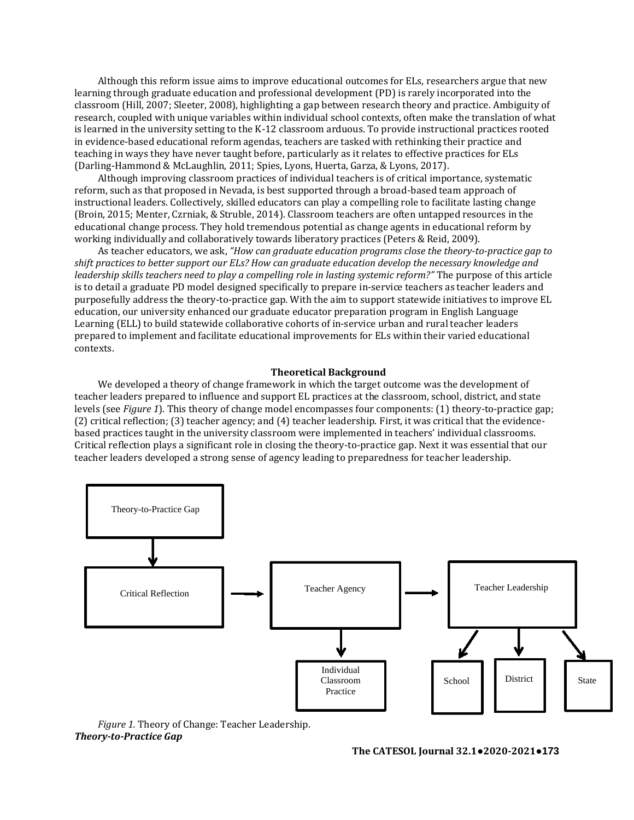Although this reform issue aims to improve educational outcomes for ELs, researchers argue that new learning through graduate education and professional development (PD) is rarely incorporated into the classroom (Hill, 2007; Sleeter, 2008), highlighting a gap between research theory and practice. Ambiguity of research, coupled with unique variables within individual school contexts, often make the translation of what is learned in the university setting to the K-12 classroom arduous. To provide instructional practices rooted in evidence-based educational reform agendas, teachers are tasked with rethinking their practice and teaching in ways they have never taught before, particularly as it relates to effective practices for ELs (Darling-Hammond & McLaughlin, 2011; Spies, Lyons, Huerta, Garza, & Lyons, 2017).

Although improving classroom practices of individual teachers is of critical importance, systematic reform, such as that proposed in Nevada, is best supported through a broad-based team approach of instructional leaders. Collectively, skilled educators can play a compelling role to facilitate lasting change (Broin, 2015; Menter, Czrniak, & Struble, 2014). Classroom teachers are often untapped resources in the educational change process. They hold tremendous potential as change agents in educational reform by working individually and collaboratively towards liberatory practices (Peters & Reid, 2009).

As teacher educators, we ask, *"How can graduate education programs close the theory-to-practice gap to shift practices to better support our ELs? How can graduate education develop the necessary knowledge and leadership skills teachers need to play a compelling role in lasting systemic reform?"* The purpose of this article is to detail a graduate PD model designed specifically to prepare in-service teachers as teacher leaders and purposefully address the theory-to-practice gap. With the aim to support statewide initiatives to improve EL education, our university enhanced our graduate educator preparation program in English Language Learning (ELL) to build statewide collaborative cohorts of in-service urban and rural teacher leaders prepared to implement and facilitate educational improvements for ELs within their varied educational contexts.

#### **Theoretical Background**

We developed a theory of change framework in which the target outcome was the development of teacher leaders prepared to influence and support EL practices at the classroom, school, district, and state levels (see *Figure 1*). This theory of change model encompasses four components: (1) theory-to-practice gap; (2) critical reflection; (3) teacher agency; and (4) teacher leadership. First, it was critical that the evidencebased practices taught in the university classroom were implemented in teachers' individual classrooms. Critical reflection plays a significant role in closing the theory-to-practice gap. Next it was essential that our teacher leaders developed a strong sense of agency leading to preparedness for teacher leadership.



*Figure 1.* Theory of Change: Teacher Leadership. *Theory-to-Practice Gap*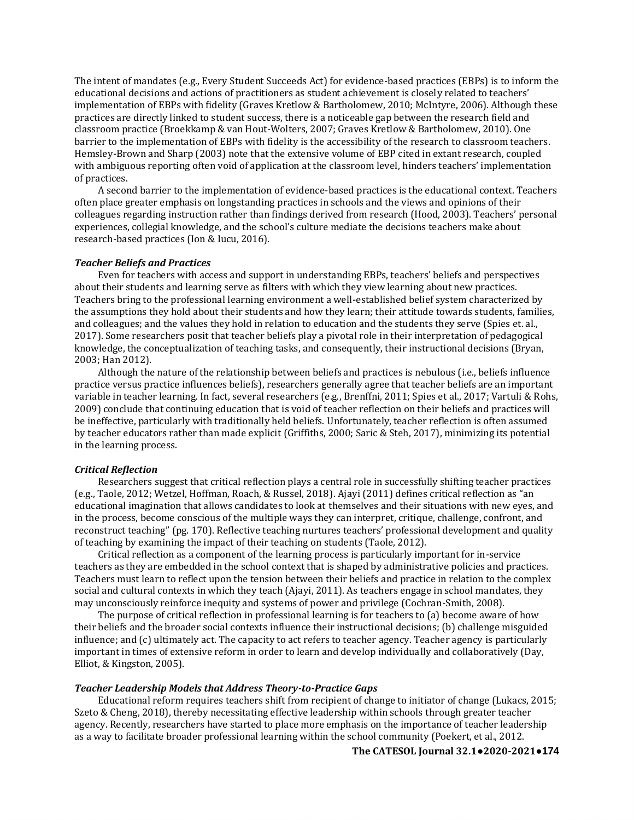The intent of mandates (e.g., Every Student Succeeds Act) for evidence-based practices (EBPs) is to inform the educational decisions and actions of practitioners as student achievement is closely related to teachers' implementation of EBPs with fidelity (Graves Kretlow & Bartholomew, 2010; McIntyre, 2006). Although these practices are directly linked to student success, there is a noticeable gap between the research field and classroom practice (Broekkamp & van Hout-Wolters, 2007; Graves Kretlow & Bartholomew, 2010). One barrier to the implementation of EBPs with fidelity is the accessibility of the research to classroom teachers. Hemsley-Brown and Sharp (2003) note that the extensive volume of EBP cited in extant research, coupled with ambiguous reporting often void of application at the classroom level, hinders teachers' implementation of practices.

A second barrier to the implementation of evidence-based practices is the educational context. Teachers often place greater emphasis on longstanding practices in schools and the views and opinions of their colleagues regarding instruction rather than findings derived from research (Hood, 2003). Teachers' personal experiences, collegial knowledge, and the school's culture mediate the decisions teachers make about research-based practices (Ion & Iucu, 2016).

### *Teacher Beliefs and Practices*

Even for teachers with access and support in understanding EBPs, teachers' beliefs and perspectives about their students and learning serve as filters with which they view learning about new practices. Teachers bring to the professional learning environment a well-established belief system characterized by the assumptions they hold about their students and how they learn; their attitude towards students, families, and colleagues; and the values they hold in relation to education and the students they serve (Spies et. al., 2017). Some researchers posit that teacher beliefs play a pivotal role in their interpretation of pedagogical knowledge, the conceptualization of teaching tasks, and consequently, their instructional decisions (Bryan, 2003; Han 2012).

Although the nature of the relationship between beliefs and practices is nebulous (i.e., beliefs influence practice versus practice influences beliefs), researchers generally agree that teacher beliefs are an important variable in teacher learning. In fact, several researchers (e.g., Brenffni, 2011; Spies et al., 2017; Vartuli & Rohs, 2009) conclude that continuing education that is void of teacher reflection on their beliefs and practices will be ineffective, particularly with traditionally held beliefs. Unfortunately, teacher reflection is often assumed by teacher educators rather than made explicit (Griffiths, 2000; Saric & Steh, 2017), minimizing its potential in the learning process.

#### *Critical Reflection*

Researchers suggest that critical reflection plays a central role in successfully shifting teacher practices (e.g., Taole, 2012; Wetzel, Hoffman, Roach, & Russel, 2018). Ajayi (2011) defines critical reflection as "an educational imagination that allows candidates to look at themselves and their situations with new eyes, and in the process, become conscious of the multiple ways they can interpret, critique, challenge, confront, and reconstruct teaching" (pg. 170). Reflective teaching nurtures teachers' professional development and quality of teaching by examining the impact of their teaching on students (Taole, 2012).

Critical reflection as a component of the learning process is particularly important for in-service teachers as they are embedded in the school context that is shaped by administrative policies and practices. Teachers must learn to reflect upon the tension between their beliefs and practice in relation to the complex social and cultural contexts in which they teach (Ajayi, 2011). As teachers engage in school mandates, they may unconsciously reinforce inequity and systems of power and privilege (Cochran-Smith, 2008).

The purpose of critical reflection in professional learning is for teachers to (a) become aware of how their beliefs and the broader social contexts influence their instructional decisions; (b) challenge misguided influence; and (c) ultimately act. The capacity to act refers to teacher agency. Teacher agency is particularly important in times of extensive reform in order to learn and develop individually and collaboratively (Day, Elliot, & Kingston, 2005).

### *Teacher Leadership Models that Address Theory-to-Practice Gaps*

Educational reform requires teachers shift from recipient of change to initiator of change (Lukacs, 2015; Szeto & Cheng, 2018), thereby necessitating effective leadership within schools through greater teacher agency. Recently, researchers have started to place more emphasis on the importance of teacher leadership as a way to facilitate broader professional learning within the school community (Poekert, et al., 2012.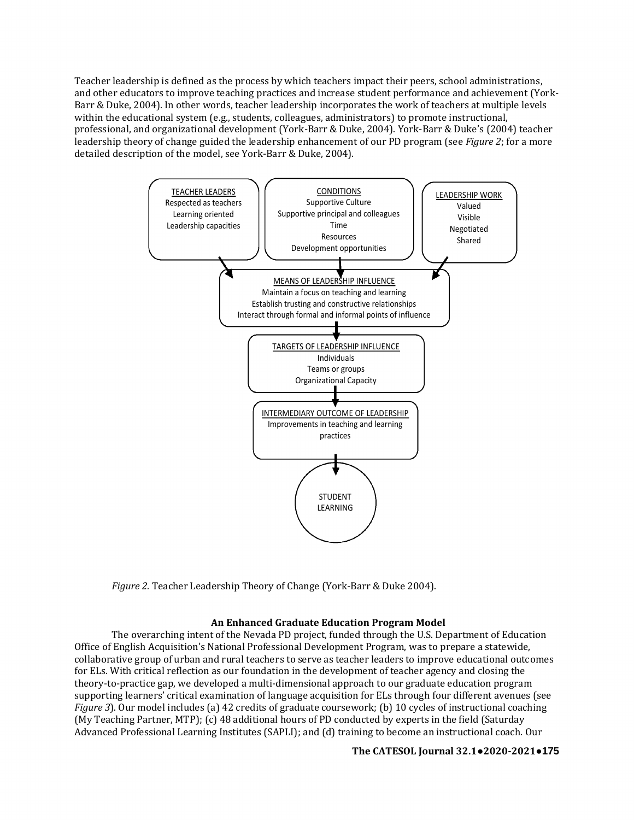Teacher leadership is defined as the process by which teachers impact their peers, school administrations, and other educators to improve teaching practices and increase student performance and achievement (York-Barr & Duke, 2004). In other words, teacher leadership incorporates the work of teachers at multiple levels within the educational system (e.g., students, colleagues, administrators) to promote instructional, professional, and organizational development (York-Barr & Duke, 2004). York-Barr & Duke's (2004) teacher leadership theory of change guided the leadership enhancement of our PD program (see *Figure 2*; for a more detailed description of the model, see York-Barr & Duke, 2004).



*Figure 2.* Teacher Leadership Theory of Change (York-Barr & Duke 2004).

# **An Enhanced Graduate Education Program Model**

The overarching intent of the Nevada PD project, funded through the U.S. Department of Education Office of English Acquisition's National Professional Development Program, was to prepare a statewide, collaborative group of urban and rural teachers to serve as teacher leaders to improve educational outcomes for ELs. With critical reflection as our foundation in the development of teacher agency and closing the theory-to-practice gap, we developed a multi-dimensional approach to our graduate education program supporting learners' critical examination of language acquisition for ELs through four different avenues (see *Figure 3*). Our model includes (a) 42 credits of graduate coursework; (b) 10 cycles of instructional coaching (My Teaching Partner, MTP); (c) 48 additional hours of PD conducted by experts in the field (Saturday Advanced Professional Learning Institutes (SAPLI); and (d) training to become an instructional coach. Our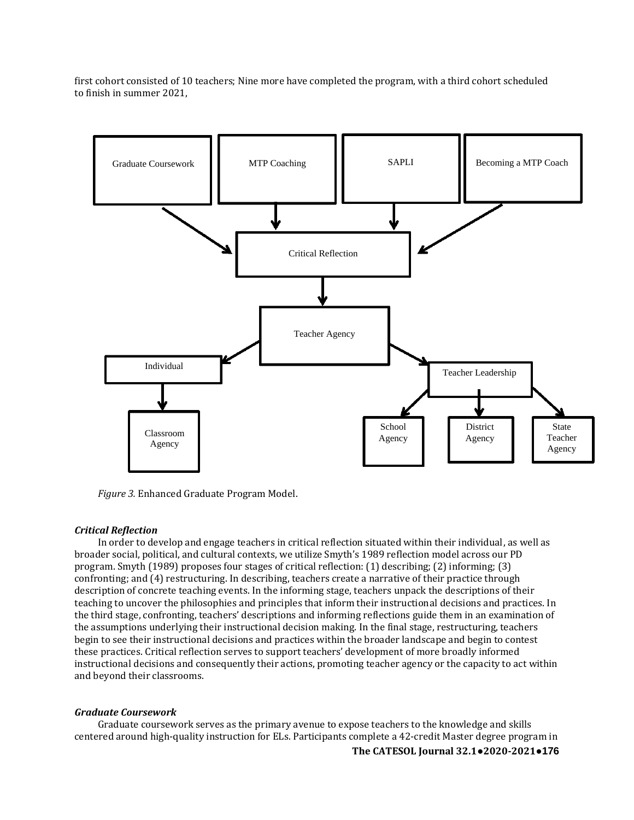first cohort consisted of 10 teachers; Nine more have completed the program, with a third cohort scheduled to finish in summer 2021,



*Figure 3.* Enhanced Graduate Program Model.

### *Critical Reflection*

In order to develop and engage teachers in critical reflection situated within their individual, as well as broader social, political, and cultural contexts, we utilize Smyth's 1989 reflection model across our PD program. Smyth (1989) proposes four stages of critical reflection: (1) describing; (2) informing; (3) confronting; and (4) restructuring. In describing, teachers create a narrative of their practice through description of concrete teaching events. In the informing stage, teachers unpack the descriptions of their teaching to uncover the philosophies and principles that inform their instructional decisions and practices. In the third stage, confronting, teachers' descriptions and informing reflections guide them in an examination of the assumptions underlying their instructional decision making. In the final stage, restructuring, teachers begin to see their instructional decisions and practices within the broader landscape and begin to contest these practices. Critical reflection serves to support teachers' development of more broadly informed instructional decisions and consequently their actions, promoting teacher agency or the capacity to act within and beyond their classrooms.

### *Graduate Coursework*

Graduate coursework serves as the primary avenue to expose teachers to the knowledge and skills centered around high-quality instruction for ELs. Participants complete a 42-credit Master degree program in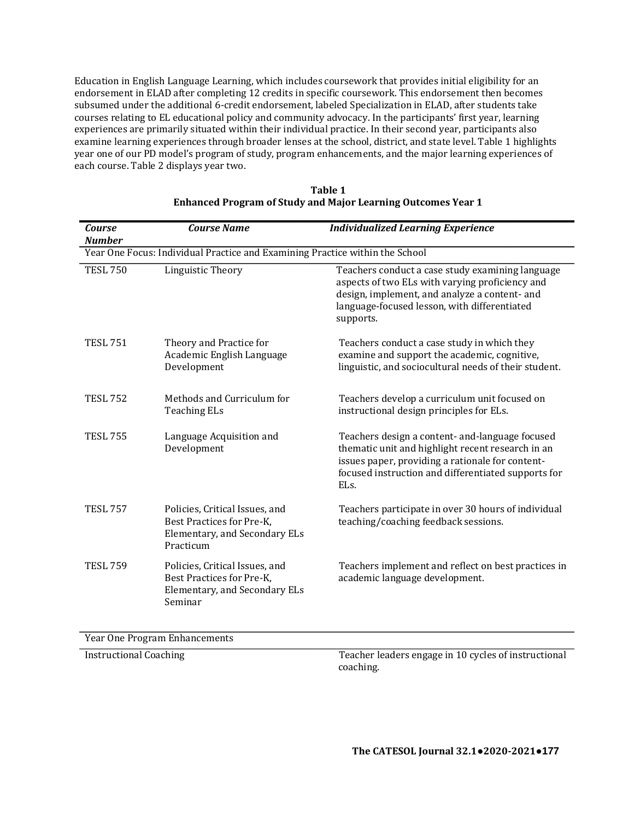Education in English Language Learning, which includes coursework that provides initial eligibility for an endorsement in ELAD after completing 12 credits in specific coursework. This endorsement then becomes subsumed under the additional 6-credit endorsement, labeled Specialization in ELAD, after students take courses relating to EL educational policy and community advocacy. In the participants' first year, learning experiences are primarily situated within their individual practice. In their second year, participants also examine learning experiences through broader lenses at the school, district, and state level. Table 1 highlights year one of our PD model's program of study, program enhancements, and the major learning experiences of each course. Table 2 displays year two.

| <b>Course</b><br><b>Number</b>                                               | <b>Course Name</b>                                                                                        | <b>Individualized Learning Experience</b>                                                                                                                                                                                            |  |  |
|------------------------------------------------------------------------------|-----------------------------------------------------------------------------------------------------------|--------------------------------------------------------------------------------------------------------------------------------------------------------------------------------------------------------------------------------------|--|--|
| Year One Focus: Individual Practice and Examining Practice within the School |                                                                                                           |                                                                                                                                                                                                                                      |  |  |
| <b>TESL 750</b>                                                              | Linguistic Theory                                                                                         | Teachers conduct a case study examining language<br>aspects of two ELs with varying proficiency and<br>design, implement, and analyze a content- and<br>language-focused lesson, with differentiated<br>supports.                    |  |  |
| <b>TESL 751</b>                                                              | Theory and Practice for<br>Academic English Language<br>Development                                       | Teachers conduct a case study in which they<br>examine and support the academic, cognitive,<br>linguistic, and sociocultural needs of their student.                                                                                 |  |  |
| <b>TESL 752</b>                                                              | Methods and Curriculum for<br><b>Teaching ELs</b>                                                         | Teachers develop a curriculum unit focused on<br>instructional design principles for ELs.                                                                                                                                            |  |  |
| <b>TESL 755</b>                                                              | Language Acquisition and<br>Development                                                                   | Teachers design a content- and-language focused<br>thematic unit and highlight recent research in an<br>issues paper, providing a rationale for content-<br>focused instruction and differentiated supports for<br>EL <sub>s</sub> . |  |  |
| <b>TESL 757</b>                                                              | Policies, Critical Issues, and<br>Best Practices for Pre-K,<br>Elementary, and Secondary ELs<br>Practicum | Teachers participate in over 30 hours of individual<br>teaching/coaching feedback sessions.                                                                                                                                          |  |  |
| <b>TESL 759</b>                                                              | Policies, Critical Issues, and<br>Best Practices for Pre-K,<br>Elementary, and Secondary ELs<br>Seminar   | Teachers implement and reflect on best practices in<br>academic language development.                                                                                                                                                |  |  |

| Table 1                                                      |  |
|--------------------------------------------------------------|--|
| Enhanced Program of Study and Major Learning Outcomes Year 1 |  |

Year One Program Enhancements

Instructional Coaching Teacher leaders engage in 10 cycles of instructional coaching.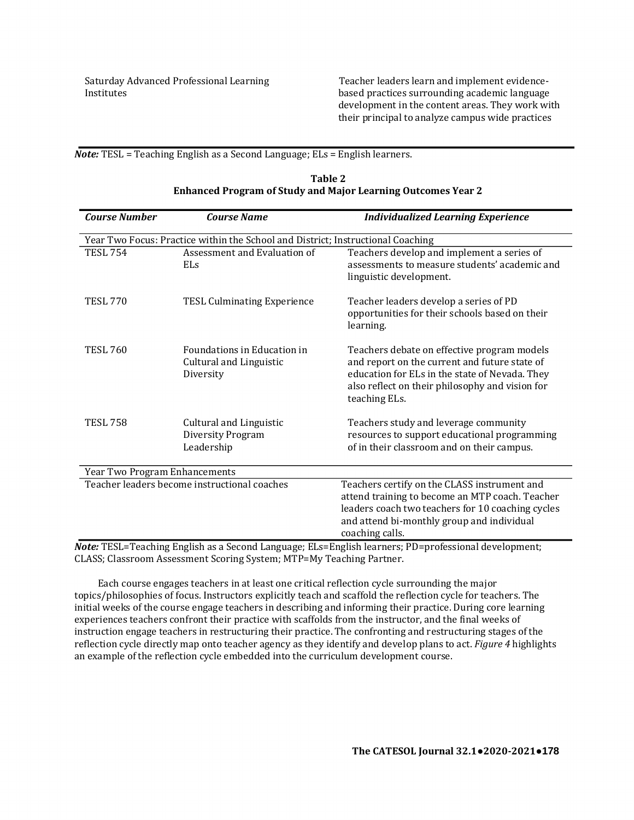Saturday Advanced Professional Learning Institutes

Teacher leaders learn and implement evidencebased practices surrounding academic language development in the content areas. They work with their principal to analyze campus wide practices

*Note:* TESL = Teaching English as a Second Language; ELs = English learners.

| <b>Course Number</b>                                                                                    | <b>Course Name</b>                                                              | <b>Individualized Learning Experience</b>                                                                                                                                                                             |  |  |
|---------------------------------------------------------------------------------------------------------|---------------------------------------------------------------------------------|-----------------------------------------------------------------------------------------------------------------------------------------------------------------------------------------------------------------------|--|--|
|                                                                                                         | Year Two Focus: Practice within the School and District; Instructional Coaching |                                                                                                                                                                                                                       |  |  |
| <b>TESL 754</b>                                                                                         | Assessment and Evaluation of<br>ELs                                             | Teachers develop and implement a series of<br>assessments to measure students' academic and<br>linguistic development.                                                                                                |  |  |
| <b>TESL 770</b>                                                                                         | <b>TESL Culminating Experience</b>                                              | Teacher leaders develop a series of PD<br>opportunities for their schools based on their<br>learning.                                                                                                                 |  |  |
| <b>TESL 760</b>                                                                                         | Foundations in Education in<br>Cultural and Linguistic<br>Diversity             | Teachers debate on effective program models<br>and report on the current and future state of<br>education for ELs in the state of Nevada. They<br>also reflect on their philosophy and vision for<br>teaching ELs.    |  |  |
| <b>TESL 758</b>                                                                                         | Cultural and Linguistic<br>Diversity Program<br>Leadership                      | Teachers study and leverage community<br>resources to support educational programming<br>of in their classroom and on their campus.                                                                                   |  |  |
| Year Two Program Enhancements                                                                           |                                                                                 |                                                                                                                                                                                                                       |  |  |
|                                                                                                         | Teacher leaders become instructional coaches                                    | Teachers certify on the CLASS instrument and<br>attend training to become an MTP coach. Teacher<br>leaders coach two teachers for 10 coaching cycles<br>and attend bi-monthly group and individual<br>coaching calls. |  |  |
| result of the Teaching English as a Second Language: ELs-English Learners: PD-professional development: |                                                                                 |                                                                                                                                                                                                                       |  |  |

| Table 2                                                             |
|---------------------------------------------------------------------|
| <b>Enhanced Program of Study and Major Learning Outcomes Year 2</b> |

*Note:* TESL=Teaching English as a Second Language; ELs=English learners; PD=professional development; CLASS; Classroom Assessment Scoring System; MTP=My Teaching Partner.

Each course engages teachers in at least one critical reflection cycle surrounding the major topics/philosophies of focus. Instructors explicitly teach and scaffold the reflection cycle for teachers. The initial weeks of the course engage teachers in describing and informing their practice. During core learning experiences teachers confront their practice with scaffolds from the instructor, and the final weeks of instruction engage teachers in restructuring their practice. The confronting and restructuring stages of the reflection cycle directly map onto teacher agency as they identify and develop plans to act. *Figure 4* highlights an example of the reflection cycle embedded into the curriculum development course.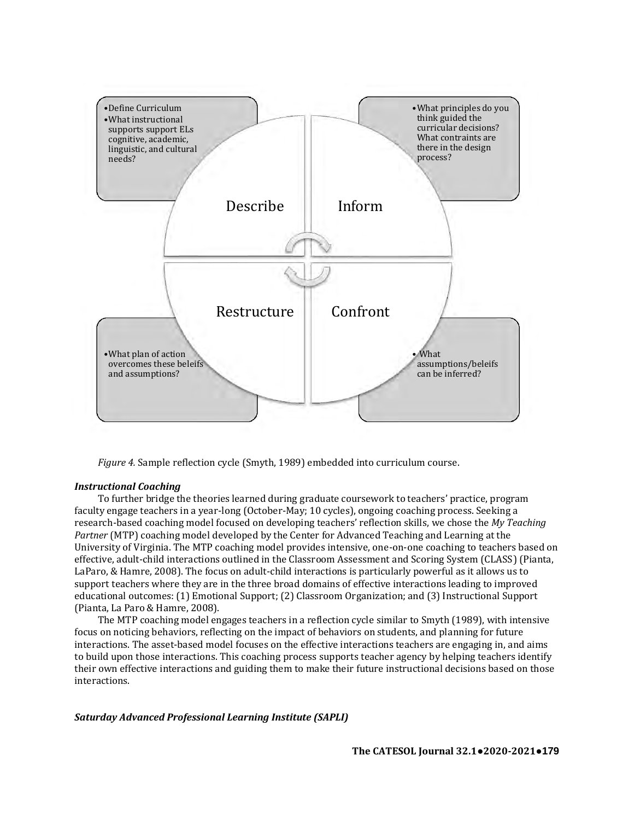

*Figure 4.* Sample reflection cycle (Smyth, 1989) embedded into curriculum course.

### *Instructional Coaching*

To further bridge the theories learned during graduate coursework to teachers' practice, program faculty engage teachers in a year-long (October-May; 10 cycles), ongoing coaching process. Seeking a research-based coaching model focused on developing teachers' reflection skills, we chose the *My Teaching Partner* (MTP) coaching model developed by the Center for Advanced Teaching and Learning at the University of Virginia. The MTP coaching model provides intensive, one-on-one coaching to teachers based on effective, adult-child interactions outlined in the Classroom Assessment and Scoring System (CLASS) (Pianta, LaParo, & Hamre, 2008). The focus on adult-child interactions is particularly powerful as it allows us to support teachers where they are in the three broad domains of effective interactions leading to improved educational outcomes: (1) Emotional Support; (2) Classroom Organization; and (3) Instructional Support (Pianta, La Paro & Hamre, 2008).

The MTP coaching model engages teachers in a reflection cycle similar to Smyth (1989), with intensive focus on noticing behaviors, reflecting on the impact of behaviors on students, and planning for future interactions. The asset-based model focuses on the effective interactions teachers are engaging in, and aims to build upon those interactions. This coaching process supports teacher agency by helping teachers identify their own effective interactions and guiding them to make their future instructional decisions based on those interactions.

*Saturday Advanced Professional Learning Institute (SAPLI)*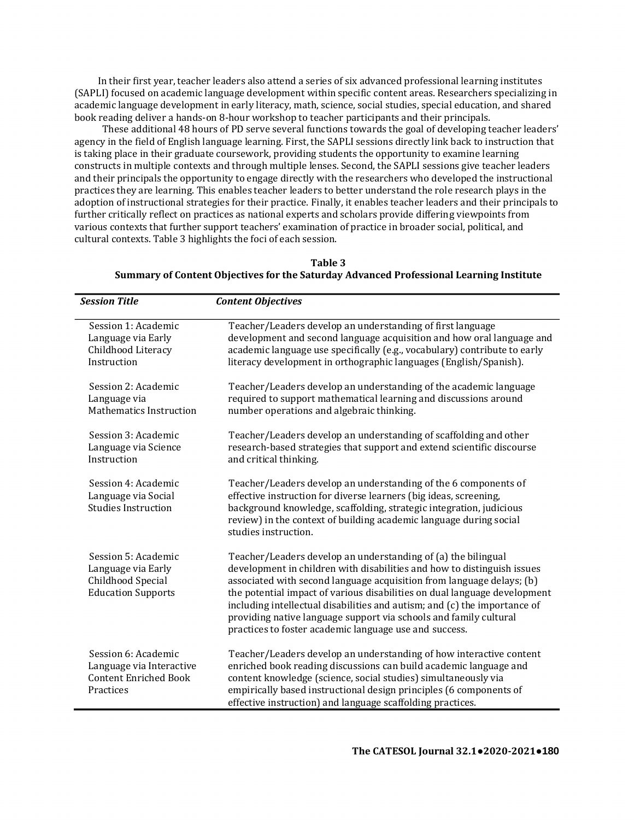In their first year, teacher leaders also attend a series of six advanced professional learning institutes (SAPLI) focused on academic language development within specific content areas. Researchers specializing in academic language development in early literacy, math, science, social studies, special education, and shared book reading deliver a hands-on 8-hour workshop to teacher participants and their principals.

 These additional 48 hours of PD serve several functions towards the goal of developing teacher leaders' agency in the field of English language learning. First, the SAPLI sessions directly link back to instruction that is taking place in their graduate coursework, providing students the opportunity to examine learning constructs in multiple contexts and through multiple lenses. Second, the SAPLI sessions give teacher leaders and their principals the opportunity to engage directly with the researchers who developed the instructional practices they are learning. This enables teacher leaders to better understand the role research plays in the adoption of instructional strategies for their practice. Finally, it enables teacher leaders and their principals to further critically reflect on practices as national experts and scholars provide differing viewpoints from various contexts that further support teachers' examination of practice in broader social, political, and cultural contexts. Table 3 highlights the foci of each session.

# **Table 3 Summary of Content Objectives for the Saturday Advanced Professional Learning Institute**

| <b>Session Title</b>                                                                         | <b>Content Objectives</b>                                                                                                                                                                                                                                                                                                                                                                                                                                                                                  |
|----------------------------------------------------------------------------------------------|------------------------------------------------------------------------------------------------------------------------------------------------------------------------------------------------------------------------------------------------------------------------------------------------------------------------------------------------------------------------------------------------------------------------------------------------------------------------------------------------------------|
| Session 1: Academic<br>Language via Early<br>Childhood Literacy<br>Instruction               | Teacher/Leaders develop an understanding of first language<br>development and second language acquisition and how oral language and<br>academic language use specifically (e.g., vocabulary) contribute to early<br>literacy development in orthographic languages (English/Spanish).                                                                                                                                                                                                                      |
| Session 2: Academic<br>Language via<br><b>Mathematics Instruction</b>                        | Teacher/Leaders develop an understanding of the academic language<br>required to support mathematical learning and discussions around<br>number operations and algebraic thinking.                                                                                                                                                                                                                                                                                                                         |
| Session 3: Academic<br>Language via Science<br>Instruction                                   | Teacher/Leaders develop an understanding of scaffolding and other<br>research-based strategies that support and extend scientific discourse<br>and critical thinking.                                                                                                                                                                                                                                                                                                                                      |
| Session 4: Academic<br>Language via Social<br><b>Studies Instruction</b>                     | Teacher/Leaders develop an understanding of the 6 components of<br>effective instruction for diverse learners (big ideas, screening,<br>background knowledge, scaffolding, strategic integration, judicious<br>review) in the context of building academic language during social<br>studies instruction.                                                                                                                                                                                                  |
| Session 5: Academic<br>Language via Early<br>Childhood Special<br><b>Education Supports</b>  | Teacher/Leaders develop an understanding of (a) the bilingual<br>development in children with disabilities and how to distinguish issues<br>associated with second language acquisition from language delays; (b)<br>the potential impact of various disabilities on dual language development<br>including intellectual disabilities and autism; and (c) the importance of<br>providing native language support via schools and family cultural<br>practices to foster academic language use and success. |
| Session 6: Academic<br>Language via Interactive<br><b>Content Enriched Book</b><br>Practices | Teacher/Leaders develop an understanding of how interactive content<br>enriched book reading discussions can build academic language and<br>content knowledge (science, social studies) simultaneously via<br>empirically based instructional design principles (6 components of<br>effective instruction) and language scaffolding practices.                                                                                                                                                             |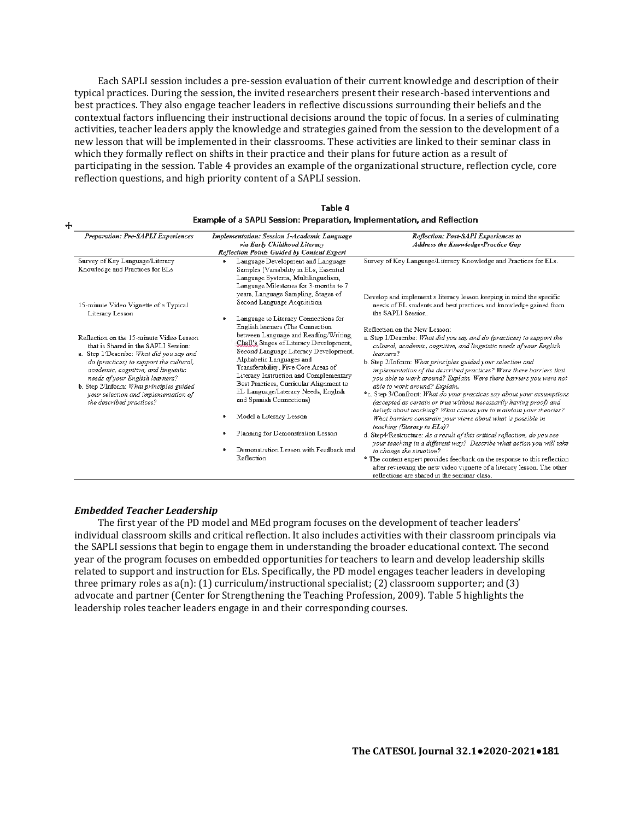Each SAPLI session includes a pre-session evaluation of their current knowledge and description of their typical practices. During the session, the invited researchers present their research-based interventions and best practices. They also engage teacher leaders in reflective discussions surrounding their beliefs and the contextual factors influencing their instructional decisions around the topic of focus. In a series of culminating activities, teacher leaders apply the knowledge and strategies gained from the session to the development of a new lesson that will be implemented in their classrooms. These activities are linked to their seminar class in which they formally reflect on shifts in their practice and their plans for future action as a result of participating in the session. Table 4 provides an example of the organizational structure, reflection cycle, core reflection questions, and high priority content of a SAPLI session.

| Preparation: Pre-SAPLI Experiences                                                                                                                                                                                                                                                                                                                                | Implementation: Session 1-Academic Language<br>via Early Childhood Literacy<br>Reflection Points Guided by Content Expert                                                                                                                                                                                                                                                                                                                                                                                        | Reflection: Post-SAPI Experiences to<br>Address the Knowledge-Practice Gap                                                                                                                                                                                                                                                                                                                                                                                                                                                                                                                                                                                                                                                                                                                                                                                                                                                                                                                                                                                                                                                                            |  |
|-------------------------------------------------------------------------------------------------------------------------------------------------------------------------------------------------------------------------------------------------------------------------------------------------------------------------------------------------------------------|------------------------------------------------------------------------------------------------------------------------------------------------------------------------------------------------------------------------------------------------------------------------------------------------------------------------------------------------------------------------------------------------------------------------------------------------------------------------------------------------------------------|-------------------------------------------------------------------------------------------------------------------------------------------------------------------------------------------------------------------------------------------------------------------------------------------------------------------------------------------------------------------------------------------------------------------------------------------------------------------------------------------------------------------------------------------------------------------------------------------------------------------------------------------------------------------------------------------------------------------------------------------------------------------------------------------------------------------------------------------------------------------------------------------------------------------------------------------------------------------------------------------------------------------------------------------------------------------------------------------------------------------------------------------------------|--|
| Survey of Key Language/Literacy<br>Knowledge and Practices for ELs                                                                                                                                                                                                                                                                                                | Language Development and Language<br>۰<br>Samples (Variability in ELs, Essential<br>Language Systems. Multilingualism.<br>Language Milestones for 3-months to 7                                                                                                                                                                                                                                                                                                                                                  | Survey of Key Language/Literacy Knowledge and Practices for ELs.                                                                                                                                                                                                                                                                                                                                                                                                                                                                                                                                                                                                                                                                                                                                                                                                                                                                                                                                                                                                                                                                                      |  |
| 15-minute Video Vignette of a Typical<br>Literacy Lesson                                                                                                                                                                                                                                                                                                          | years, Language Sampling, Stages of<br>Second Language Acquisition<br>Language to Literacy Connections for                                                                                                                                                                                                                                                                                                                                                                                                       | Develop and implement a literacy lesson keeping in mind the specific<br>needs of EL students and best practices and knowledge gained from<br>the SAPLI Session.                                                                                                                                                                                                                                                                                                                                                                                                                                                                                                                                                                                                                                                                                                                                                                                                                                                                                                                                                                                       |  |
| Reflection on the 15-minute Video Lesson<br>that is Shared in the SAPLI Session:<br>a. Step 1/Describe: What did you say and<br>do (practices) to support the cultural,<br>academic, cognitive, and linguistic<br>needs of vour English learners?<br>b. Step 2/Inform: What principles guided<br>your selection and implementation of<br>the described practices? | English learners (The Connection<br>between Language and Reading/Writing,<br>Chall's Stages of Literacy Development,<br>Second Language Literacy Development,<br>Alphabetic Languages and<br>Transferability, Five Core Areas of<br>Literacy Instruction and Complementary<br>Best Practices, Curricular Alignment to<br>EL Language/Literacy Needs, English<br>and Spanish Connections)<br>Model a Literacy Lesson<br>Planning for Demonstration Lesson<br>Demonstration Lesson with Feedback and<br>Reflection | Reflection on the New Lesson:<br>a. Step 1/Describe: What did you say and do (practices) to support the<br>cultural, academic, cognitive, and linguistic needs of your English<br>learners?<br>b. Step 2/Inform: What principles guided your selection and<br>implementation of the described practices? Were there barriers that<br>vou able to work around? Explain. Were there barriers vou were not<br>able to work around? Explain.<br>*c. Step 3/Confront: What do your practices say about your assumptions<br>(accepted as certain or true without necessarily having proof) and<br>beliefs about teaching? What causes you to maintain your theories?<br>What barriers constrain your views about what is possible in<br>teaching (literacy to ELs)?<br>d. Step4/Restructure: As a result of this critical reflection, do vou see<br>vour teaching in a different way? Describe what action you will take<br>to change the situation?<br>* The content expert provides feedback on the response to this reflection<br>after reviewing the new video vignette of a literacy lesson. The other<br>reflections are shared in the seminar class. |  |

| Table 4                                                                        |  |  |  |
|--------------------------------------------------------------------------------|--|--|--|
| <b>Example of a SAPLI Session: Preparation, Implementation, and Reflection</b> |  |  |  |

# *Embedded Teacher Leadership*

 $\ddot{+}$ 

The first year of the PD model and MEd program focuses on the development of teacher leaders' individual classroom skills and critical reflection. It also includes activities with their classroom principals via the SAPLI sessions that begin to engage them in understanding the broader educational context. The second year of the program focuses on embedded opportunities for teachers to learn and develop leadership skills related to support and instruction for ELs. Specifically, the PD model engages teacher leaders in developing three primary roles as  $a(n)$ : (1) curriculum/instructional specialist; (2) classroom supporter; and (3) advocate and partner (Center for Strengthening the Teaching Profession, 2009). Table 5 highlights the leadership roles teacher leaders engage in and their corresponding courses.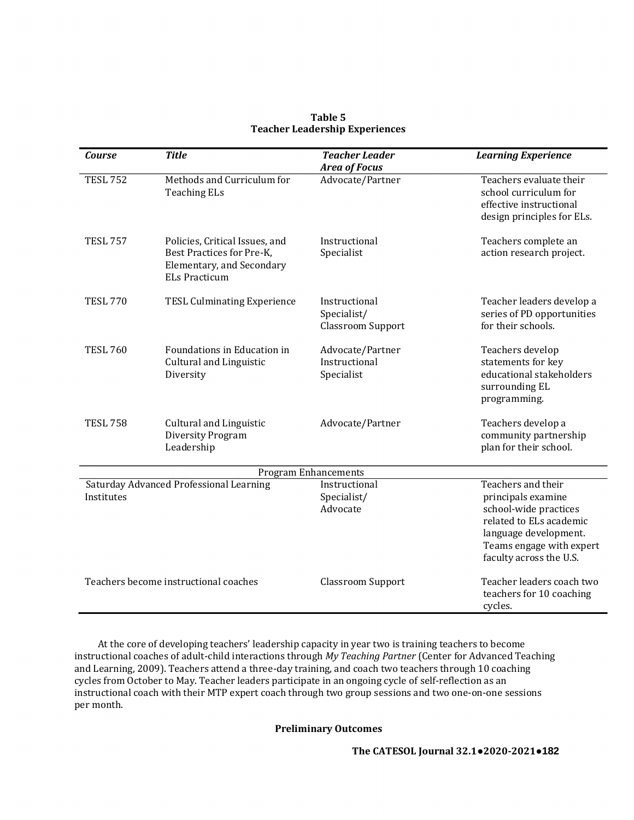| <b>Course</b>                         | <b>Title</b>                                                                                                     | <b>Teacher Leader</b><br><b>Area of Focus</b>            | <b>Learning Experience</b>                                                                                                                                                   |  |
|---------------------------------------|------------------------------------------------------------------------------------------------------------------|----------------------------------------------------------|------------------------------------------------------------------------------------------------------------------------------------------------------------------------------|--|
| <b>TESL 752</b>                       | Methods and Curriculum for<br><b>Teaching ELs</b>                                                                | Advocate/Partner                                         | Teachers evaluate their<br>school curriculum for<br>effective instructional<br>design principles for ELs.                                                                    |  |
| <b>TESL 757</b>                       | Policies, Critical Issues, and<br>Best Practices for Pre-K,<br>Elementary, and Secondary<br><b>ELs Practicum</b> | Instructional<br>Specialist                              | Teachers complete an<br>action research project.                                                                                                                             |  |
| <b>TESL 770</b>                       | <b>TESL Culminating Experience</b>                                                                               | Instructional<br>Specialist/<br><b>Classroom Support</b> | Teacher leaders develop a<br>series of PD opportunities<br>for their schools.                                                                                                |  |
| <b>TESL 760</b>                       | Foundations in Education in<br><b>Cultural and Linguistic</b><br>Diversity                                       | Advocate/Partner<br>Instructional<br>Specialist          | Teachers develop<br>statements for key<br>educational stakeholders<br>surrounding EL<br>programming.                                                                         |  |
| <b>TESL 758</b>                       | <b>Cultural and Linguistic</b><br>Diversity Program<br>Leadership                                                | Advocate/Partner                                         | Teachers develop a<br>community partnership<br>plan for their school.                                                                                                        |  |
| <b>Program Enhancements</b>           |                                                                                                                  |                                                          |                                                                                                                                                                              |  |
| Institutes                            | Saturday Advanced Professional Learning                                                                          | Instructional<br>Specialist/<br>Advocate                 | Teachers and their<br>principals examine<br>school-wide practices<br>related to ELs academic<br>language development.<br>Teams engage with expert<br>faculty across the U.S. |  |
| Teachers become instructional coaches |                                                                                                                  | <b>Classroom Support</b>                                 | Teacher leaders coach two<br>teachers for 10 coaching<br>cycles.                                                                                                             |  |

# **Table 5 Teacher Leadership Experiences**

At the core of developing teachers' leadership capacity in year two is training teachers to become instructional coaches of adult-child interactions through *My Teaching Partner* (Center for Advanced Teaching and Learning, 2009). Teachers attend a three-day training, and coach two teachers through 10 coaching cycles from October to May. Teacher leaders participate in an ongoing cycle of self-reflection as an instructional coach with their MTP expert coach through two group sessions and two one-on-one sessions per month.

# **Preliminary Outcomes**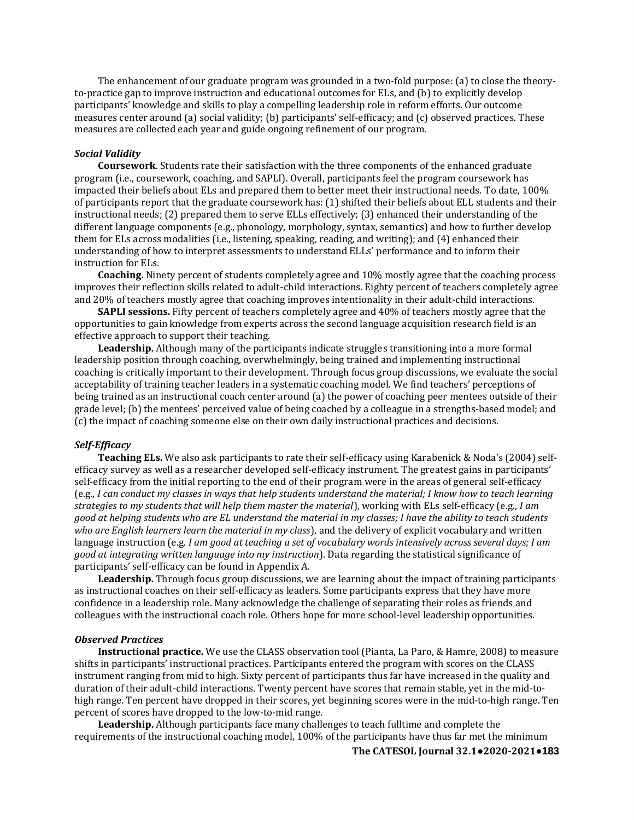The enhancement of our graduate program was grounded in a two-fold purpose: (a) to close the theoryto-practice gap to improve instruction and educational outcomes for ELs, and (b) to explicitly develop participants' knowledge and skills to play a compelling leadership role in reform efforts. Our outcome measures center around (a) social validity; (b) participants' self-efficacy; and (c) observed practices. These measures are collected each year and guide ongoing refinement of our program.

# *Social Validity*

**Coursework**. Students rate their satisfaction with the three components of the enhanced graduate program (i.e., coursework, coaching, and SAPLI). Overall, participants feel the program coursework has impacted their beliefs about ELs and prepared them to better meet their instructional needs. To date, 100% of participants report that the graduate coursework has: (1) shifted their beliefs about ELL students and their instructional needs; (2) prepared them to serve ELLs effectively; (3) enhanced their understanding of the different language components (e.g., phonology, morphology, syntax, semantics) and how to further develop them for ELs across modalities (i.e., listening, speaking, reading, and writing); and (4) enhanced their understanding of how to interpret assessments to understand ELLs' performance and to inform their instruction for ELs.

**Coaching.** Ninety percent of students completely agree and 10% mostly agree that the coaching process improves their reflection skills related to adult-child interactions. Eighty percent of teachers completely agree and 20% of teachers mostly agree that coaching improves intentionality in their adult-child interactions.

**SAPLI sessions.** Fifty percent of teachers completely agree and 40% of teachers mostly agree that the opportunities to gain knowledge from experts across the second language acquisition research field is an effective approach to support their teaching.

**Leadership.** Although many of the participants indicate struggles transitioning into a more formal leadership position through coaching, overwhelmingly, being trained and implementing instructional coaching is critically important to their development. Through focus group discussions, we evaluate the social acceptability of training teacher leaders in a systematic coaching model. We find teachers' perceptions of being trained as an instructional coach center around (a) the power of coaching peer mentees outside of their grade level; (b) the mentees' perceived value of being coached by a colleague in a strengths-based model; and (c) the impact of coaching someone else on their own daily instructional practices and decisions.

# *Self-Efficacy*

**Teaching ELs.** We also ask participants to rate their self-efficacy using Karabenick & Noda's (2004) selfefficacy survey as well as a researcher developed self-efficacy instrument. The greatest gains in participants' self-efficacy from the initial reporting to the end of their program were in the areas of general self-efficacy (e.g., *I can conduct my classes in ways that help students understand the material; I know how to teach learning strategies to my students that will help them master the material*), working with ELs self-efficacy (e.g., *I am good at helping students who are EL understand the material in my classes; I have the ability to teach students who are English learners learn the material in my class*), and the delivery of explicit vocabulary and written language instruction (e.g. *I am good at teaching a set of vocabulary words intensively across several days; I am good at integrating written language into my instruction*). Data regarding the statistical significance of participants' self-efficacy can be found in Appendix A.

**Leadership.** Through focus group discussions, we are learning about the impact of training participants as instructional coaches on their self-efficacy as leaders. Some participants express that they have more confidence in a leadership role. Many acknowledge the challenge of separating their roles as friends and colleagues with the instructional coach role. Others hope for more school-level leadership opportunities.

### *Observed Practices*

**Instructional practice.** We use the CLASS observation tool (Pianta, La Paro, & Hamre, 2008) to measure shifts in participants' instructional practices. Participants entered the program with scores on the CLASS instrument ranging from mid to high. Sixty percent of participants thus far have increased in the quality and duration of their adult-child interactions. Twenty percent have scores that remain stable, yet in the mid-tohigh range. Ten percent have dropped in their scores, yet beginning scores were in the mid-to-high range. Ten percent of scores have dropped to the low-to-mid range.

**Leadership.** Although participants face many challenges to teach fulltime and complete the requirements of the instructional coaching model, 100% of the participants have thus far met the minimum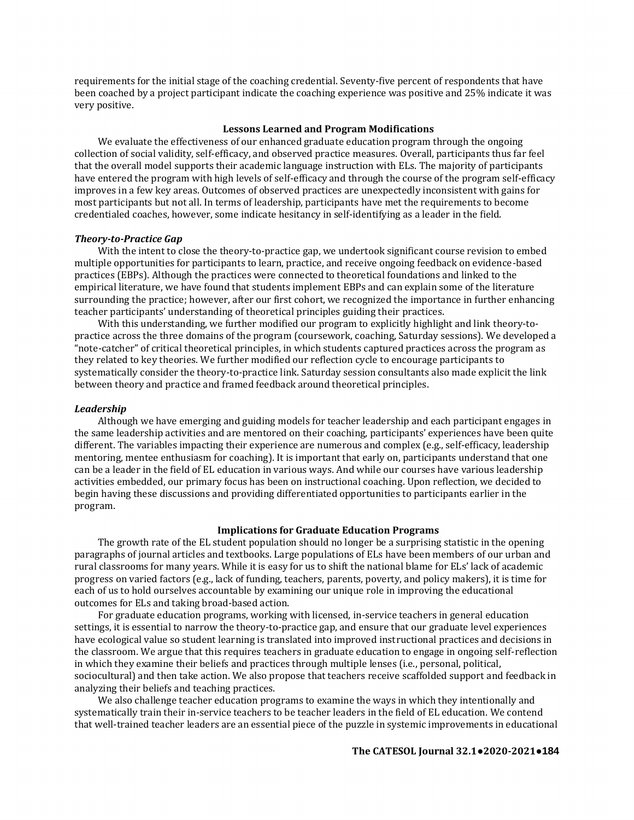requirements for the initial stage of the coaching credential. Seventy-five percent of respondents that have been coached by a project participant indicate the coaching experience was positive and 25% indicate it was very positive.

#### **Lessons Learned and Program Modifications**

We evaluate the effectiveness of our enhanced graduate education program through the ongoing collection of social validity, self-efficacy, and observed practice measures. Overall, participants thus far feel that the overall model supports their academic language instruction with ELs. The majority of participants have entered the program with high levels of self-efficacy and through the course of the program self-efficacy improves in a few key areas. Outcomes of observed practices are unexpectedly inconsistent with gains for most participants but not all. In terms of leadership, participants have met the requirements to become credentialed coaches, however, some indicate hesitancy in self-identifying as a leader in the field.

## *Theory-to-Practice Gap*

With the intent to close the theory-to-practice gap, we undertook significant course revision to embed multiple opportunities for participants to learn, practice, and receive ongoing feedback on evidence-based practices (EBPs). Although the practices were connected to theoretical foundations and linked to the empirical literature, we have found that students implement EBPs and can explain some of the literature surrounding the practice; however, after our first cohort, we recognized the importance in further enhancing teacher participants' understanding of theoretical principles guiding their practices.

With this understanding, we further modified our program to explicitly highlight and link theory-topractice across the three domains of the program (coursework, coaching, Saturday sessions). We developed a "note-catcher" of critical theoretical principles, in which students captured practices across the program as they related to key theories. We further modified our reflection cycle to encourage participants to systematically consider the theory-to-practice link. Saturday session consultants also made explicit the link between theory and practice and framed feedback around theoretical principles.

### *Leadership*

Although we have emerging and guiding models for teacher leadership and each participant engages in the same leadership activities and are mentored on their coaching, participants' experiences have been quite different. The variables impacting their experience are numerous and complex (e.g., self-efficacy, leadership mentoring, mentee enthusiasm for coaching). It is important that early on, participants understand that one can be a leader in the field of EL education in various ways. And while our courses have various leadership activities embedded, our primary focus has been on instructional coaching. Upon reflection, we decided to begin having these discussions and providing differentiated opportunities to participants earlier in the program.

# **Implications for Graduate Education Programs**

The growth rate of the EL student population should no longer be a surprising statistic in the opening paragraphs of journal articles and textbooks. Large populations of ELs have been members of our urban and rural classrooms for many years. While it is easy for us to shift the national blame for ELs' lack of academic progress on varied factors (e.g., lack of funding, teachers, parents, poverty, and policy makers), it is time for each of us to hold ourselves accountable by examining our unique role in improving the educational outcomes for ELs and taking broad-based action.

For graduate education programs, working with licensed, in-service teachers in general education settings, it is essential to narrow the theory-to-practice gap, and ensure that our graduate level experiences have ecological value so student learning is translated into improved instructional practices and decisions in the classroom. We argue that this requires teachers in graduate education to engage in ongoing self-reflection in which they examine their beliefs and practices through multiple lenses (i.e., personal, political, sociocultural) and then take action. We also propose that teachers receive scaffolded support and feedback in analyzing their beliefs and teaching practices.

We also challenge teacher education programs to examine the ways in which they intentionally and systematically train their in-service teachers to be teacher leaders in the field of EL education. We contend that well-trained teacher leaders are an essential piece of the puzzle in systemic improvements in educational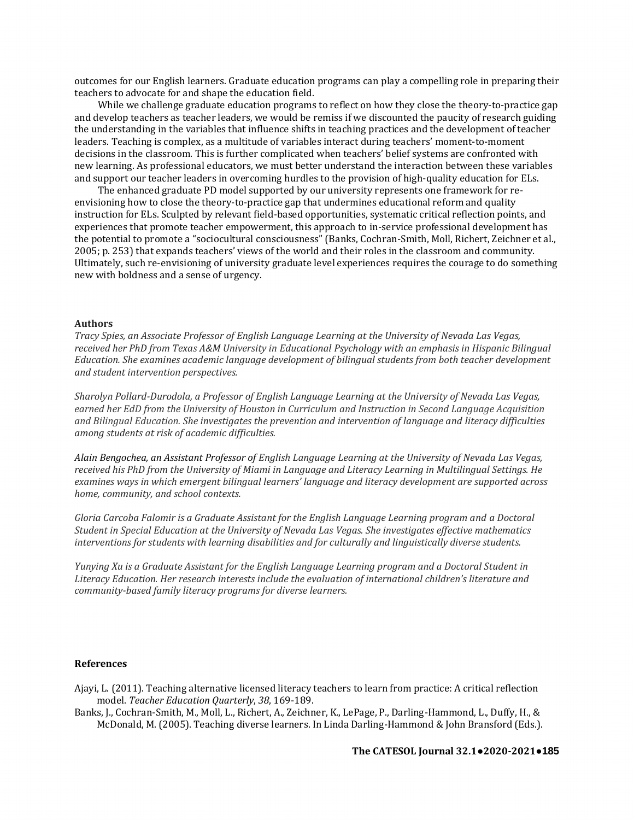outcomes for our English learners. Graduate education programs can play a compelling role in preparing their teachers to advocate for and shape the education field.

While we challenge graduate education programs to reflect on how they close the theory-to-practice gap and develop teachers as teacher leaders, we would be remiss if we discounted the paucity of research guiding the understanding in the variables that influence shifts in teaching practices and the development of teacher leaders. Teaching is complex, as a multitude of variables interact during teachers' moment-to-moment decisions in the classroom. This is further complicated when teachers' belief systems are confronted with new learning. As professional educators, we must better understand the interaction between these variables and support our teacher leaders in overcoming hurdles to the provision of high-quality education for ELs.

The enhanced graduate PD model supported by our university represents one framework for reenvisioning how to close the theory-to-practice gap that undermines educational reform and quality instruction for ELs. Sculpted by relevant field-based opportunities, systematic critical reflection points, and experiences that promote teacher empowerment, this approach to in-service professional development has the potential to promote a "sociocultural consciousness" (Banks, Cochran-Smith, Moll, Richert, Zeichner et al., 2005; p. 253) that expands teachers' views of the world and their roles in the classroom and community. Ultimately, such re-envisioning of university graduate level experiences requires the courage to do something new with boldness and a sense of urgency.

# **Authors**

*Tracy Spies, an Associate Professor of English Language Learning at the University of Nevada Las Vegas, received her PhD from Texas A&M University in Educational Psychology with an emphasis in Hispanic Bilingual Education. She examines academic language development of bilingual students from both teacher development and student intervention perspectives.*

*Sharolyn Pollard-Durodola, a Professor of English Language Learning at the University of Nevada Las Vegas, earned her EdD from the University of Houston in Curriculum and Instruction in Second Language Acquisition and Bilingual Education. She investigates the prevention and intervention of language and literacy difficulties among students at risk of academic difficulties.*

*Alain Bengochea, an Assistant Professor of English Language Learning at the University of Nevada Las Vegas, received his PhD from the University of Miami in Language and Literacy Learning in Multilingual Settings. He examines ways in which emergent bilingual learners' language and literacy development are supported across home, community, and school contexts.*

*Gloria Carcoba Falomir is a Graduate Assistant for the English Language Learning program and a Doctoral Student in Special Education at the University of Nevada Las Vegas. She investigates effective mathematics interventions for students with learning disabilities and for culturally and linguistically diverse students.*

*Yunying Xu is a Graduate Assistant for the English Language Learning program and a Doctoral Student in Literacy Education. Her research interests include the evaluation of international children's literature and community-based family literacy programs for diverse learners.* 

### **References**

Ajayi, L. (2011). Teaching alternative licensed literacy teachers to learn from practice: A critical reflection model. *Teacher Education Quarterly*, *38*, 169-189.

Banks, J., Cochran-Smith, M., Moll, L., Richert, A., Zeichner, K., LePage, P., Darling-Hammond, L., Duffy, H., & McDonald, M. (2005). Teaching diverse learners. In Linda Darling-Hammond & John Bransford (Eds.).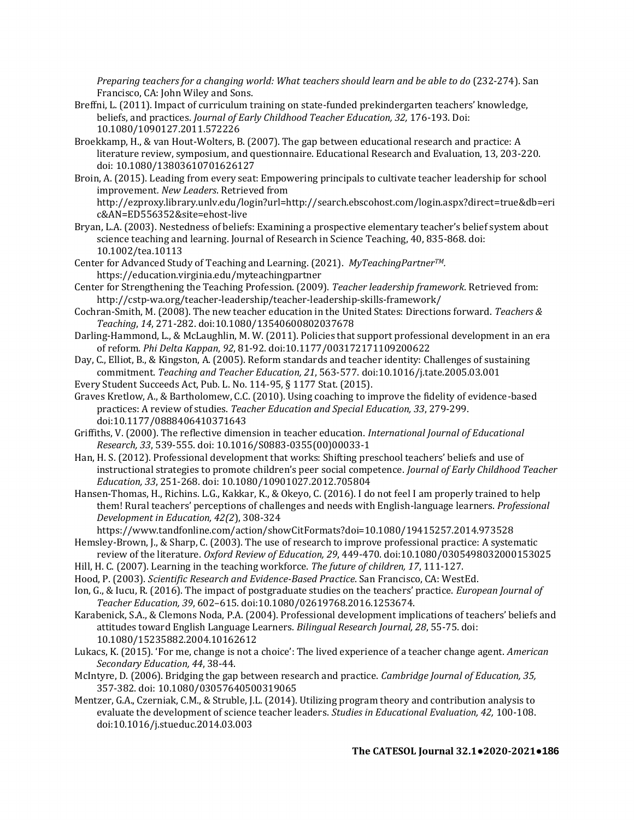*Preparing teachers for a changing world: What teachers should learn and be able to do* (232-274). San Francisco, CA: John Wiley and Sons.

- Breffni, L. (2011). Impact of curriculum training on state-funded prekindergarten teachers' knowledge, beliefs, and practices. *Journal of Early Childhood Teacher Education, 32,* 176-193. Doi: 10.1080/1090127.2011.572226
- Broekkamp, H., & van Hout-Wolters, B. (2007). The gap between educational research and practice: A literature review, symposium, and questionnaire. Educational Research and Evaluation, 13, 203-220. doi: 10.1080/13803610701626127
- Broin, A. (2015). Leading from every seat: Empowering principals to cultivate teacher leadership for school improvement*. New Leaders*. Retrieved from http://ezproxy.library.unlv.edu/login?url=http://search.ebscohost.com/login.aspx?direct=true&db=eri
- c&AN=ED556352&site=ehost-live Bryan, L.A. (2003). Nestedness of beliefs: Examining a prospective elementary teacher's belief system about science teaching and learning. Journal of Research in Science Teaching, 40, 835-868. doi: 10.1002/tea.10113
- Center for Advanced Study of Teaching and Learning. (2021). *MyTeachingPartnerTM.* https://education.virginia.edu/myteachingpartner
- Center for Strengthening the Teaching Profession. (2009). *Teacher leadership framework*. Retrieved from: http://cstp-wa.org/teacher-leadership/teacher-leadership-skills-framework/
- Cochran-Smith, M. (2008). The new teacher education in the United States: Directions forward. *Teachers & Teaching*, *14*, 271-282. doi:10.1080/13540600802037678
- Darling-Hammond, L., & McLaughlin, M. W. (2011). Policies that support professional development in an era of reform. *Phi Delta Kappan*, *92*, 81-92. doi:10.1177/003172171109200622
- Day, C., Elliot, B., & Kingston, A. (2005). Reform standards and teacher identity: Challenges of sustaining commitment. *Teaching and Teacher Education, 21*, 563-577. doi:10.1016/j.tate.2005.03.001
- Every Student Succeeds Act, Pub. L. No. 114-95, § 1177 Stat. (2015).
- Graves Kretlow, A., & Bartholomew, C.C. (2010). Using coaching to improve the fidelity of evidence-based practices: A review of studies. *Teacher Education and Special Education, 33*, 279-299. doi:10.1177/0888406410371643
- Griffiths, V. (2000). The reflective dimension in teacher education. *International Journal of Educational Research, 33*, 539-555. doi: 10.1016/S0883-0355(00)00033-1
- Han, H. S. (2012). Professional development that works: Shifting preschool teachers' beliefs and use of instructional strategies to promote children's peer social competence. *Journal of Early Childhood Teacher Education, 33*, 251-268. doi: 10.1080/10901027.2012.705804
- Hansen-Thomas, H., Richins. L.G., Kakkar, K., & Okeyo, C. (2016). I do not feel I am properly trained to help them! Rural teachers' perceptions of challenges and needs with English-language learners. *Professional Development in Education, 42(2*), 308-324
- https://www.tandfonline.com/action/showCitFormats?doi=10.1080/19415257.2014.973528
- Hemsley-Brown, J., & Sharp, C. (2003). The use of research to improve professional practice: A systematic review of the literature. *Oxford Review of Education, 29*, 449-470. doi:10.1080/0305498032000153025
- Hill, H. C. (2007). Learning in the teaching workforce. *The future of children, 17*, 111-127.
- Hood, P. (2003). *Scientific Research and Evidence-Based Practice*. San Francisco, CA: WestEd.
- Ion, G., & Iucu, R. (2016). The impact of postgraduate studies on the teachers' practice. *European Journal of Teacher Education, 39*, 602–615. doi:10.1080/02619768.2016.1253674.
- Karabenick, S.A., & Clemons Noda, P.A. (2004). Professional development implications of teachers' beliefs and attitudes toward English Language Learners. *Bilingual Research Journal, 28*, 55-75. doi: 10.1080/15235882.2004.10162612
- Lukacs, K. (2015). 'For me, change is not a choice': The lived experience of a teacher change agent. *American Secondary Education, 44*, 38-44.
- McIntyre, D. (2006). Bridging the gap between research and practice. *Cambridge Journal of Education, 35,*  357-382. doi: 10.1080/03057640500319065
- Mentzer, G.A., Czerniak, C.M., & Struble, J.L. (2014). Utilizing program theory and contribution analysis to evaluate the development of science teacher leaders. *Studies in Educational Evaluation, 42,* 100-108. doi:10.1016/j.stueduc.2014.03.003